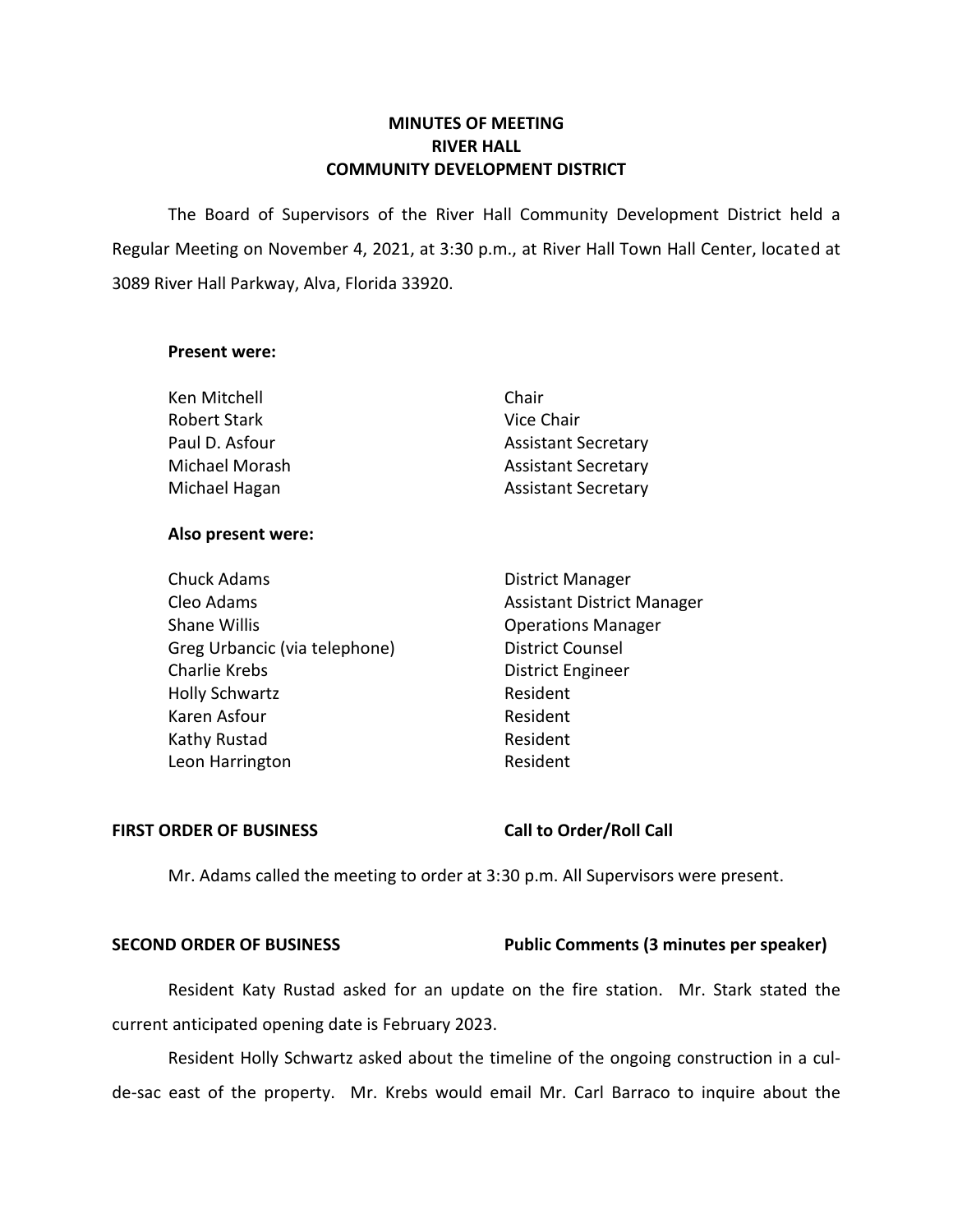### **MINUTES OF MEETING RIVER HALL COMMUNITY DEVELOPMENT DISTRICT**

 The Board of Supervisors of the River Hall Community Development District held a Regular Meeting on November 4, 2021, at 3:30 p.m., at River Hall Town Hall Center, located at 3089 River Hall Parkway, Alva, Florida 33920.

### **Present were:**

| Ken Mitchell        | Chair                      |
|---------------------|----------------------------|
| <b>Robert Stark</b> | Vice Chair                 |
| Paul D. Asfour      | <b>Assistant Secretary</b> |
| Michael Morash      | <b>Assistant Secretary</b> |
| Michael Hagan       | <b>Assistant Secretary</b> |

### **Also present were:**

| District Manager                  |
|-----------------------------------|
| <b>Assistant District Manager</b> |
| <b>Operations Manager</b>         |
| <b>District Counsel</b>           |
| District Engineer                 |
| Resident                          |
| Resident                          |
| Resident                          |
| Resident                          |
|                                   |

### FIRST ORDER OF BUSINESS Call to Order/Roll Call

Mr. Adams called the meeting to order at 3:30 p.m. All Supervisors were present.

### **SECOND ORDER OF BUSINESS Public Comments (3 minutes per speaker)**

Resident Katy Rustad asked for an update on the fire station. Mr. Stark stated the current anticipated opening date is February 2023.

Resident Holly Schwartz asked about the timeline of the ongoing construction in a culde-sac east of the property. Mr. Krebs would email Mr. Carl Barraco to inquire about the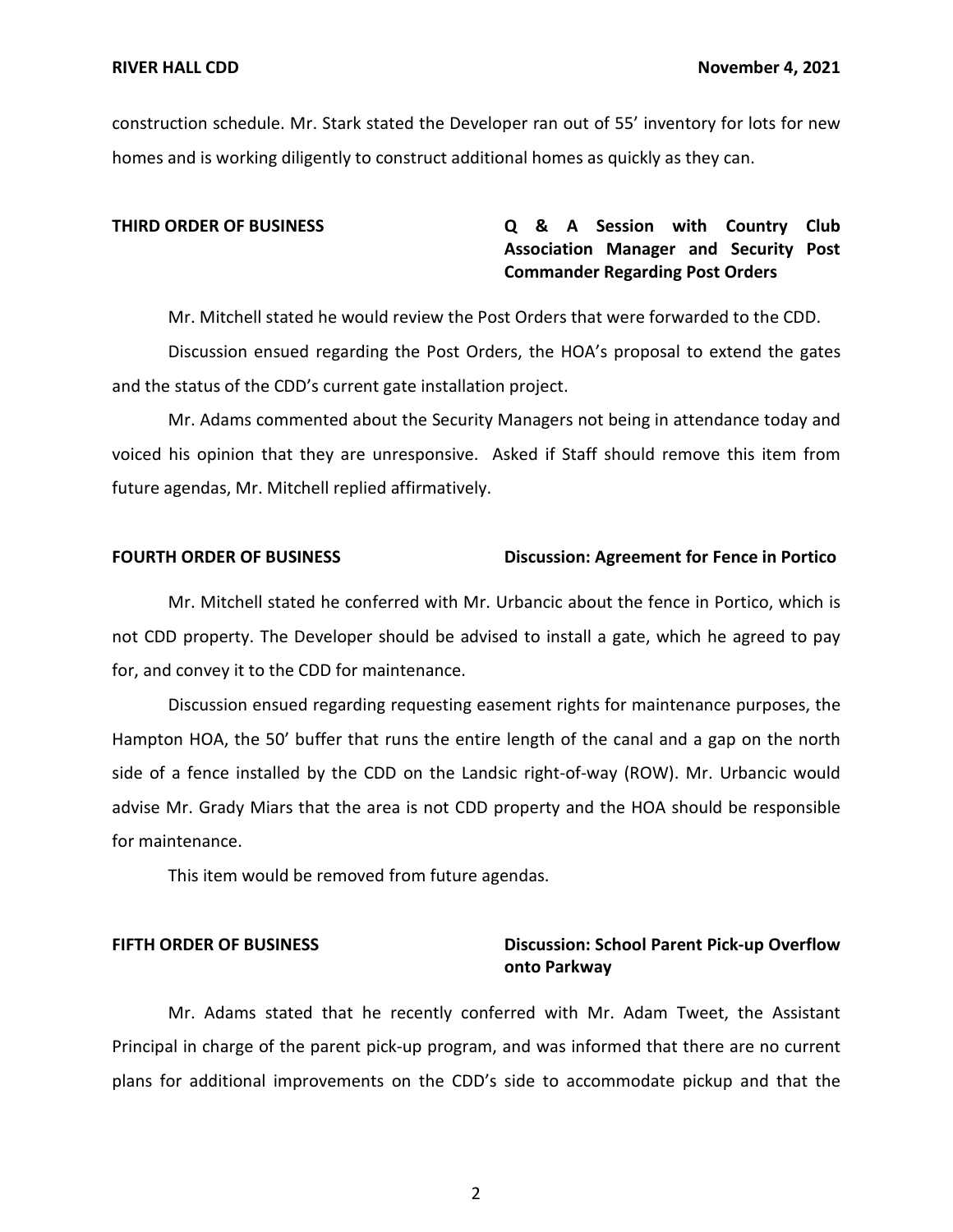construction schedule. Mr. Stark stated the Developer ran out of 55' inventory for lots for new homes and is working diligently to construct additional homes as quickly as they can.

 **THIRD ORDER OF BUSINESS Q & A Session with Country Club Association Manager and Security Post Commander Regarding Post Orders** 

Mr. Mitchell stated he would review the Post Orders that were forwarded to the CDD.

Discussion ensued regarding the Post Orders, the HOA's proposal to extend the gates and the status of the CDD's current gate installation project.

Mr. Adams commented about the Security Managers not being in attendance today and voiced his opinion that they are unresponsive. Asked if Staff should remove this item from future agendas, Mr. Mitchell replied affirmatively.

### **FOURTH ORDER OF BUSINESS Discussion: Agreement for Fence in Portico**

Mr. Mitchell stated he conferred with Mr. Urbancic about the fence in Portico, which is not CDD property. The Developer should be advised to install a gate, which he agreed to pay for, and convey it to the CDD for maintenance.

Discussion ensued regarding requesting easement rights for maintenance purposes, the Hampton HOA, the 50' buffer that runs the entire length of the canal and a gap on the north side of a fence installed by the CDD on the Landsic right-of-way (ROW). Mr. Urbancic would advise Mr. Grady Miars that the area is not CDD property and the HOA should be responsible for maintenance.

This item would be removed from future agendas.

### **FIFTH ORDER OF BUSINESS Discussion: School Parent Pick-up Overflow onto Parkway**

Mr. Adams stated that he recently conferred with Mr. Adam Tweet, the Assistant Principal in charge of the parent pick-up program, and was informed that there are no current plans for additional improvements on the CDD's side to accommodate pickup and that the

2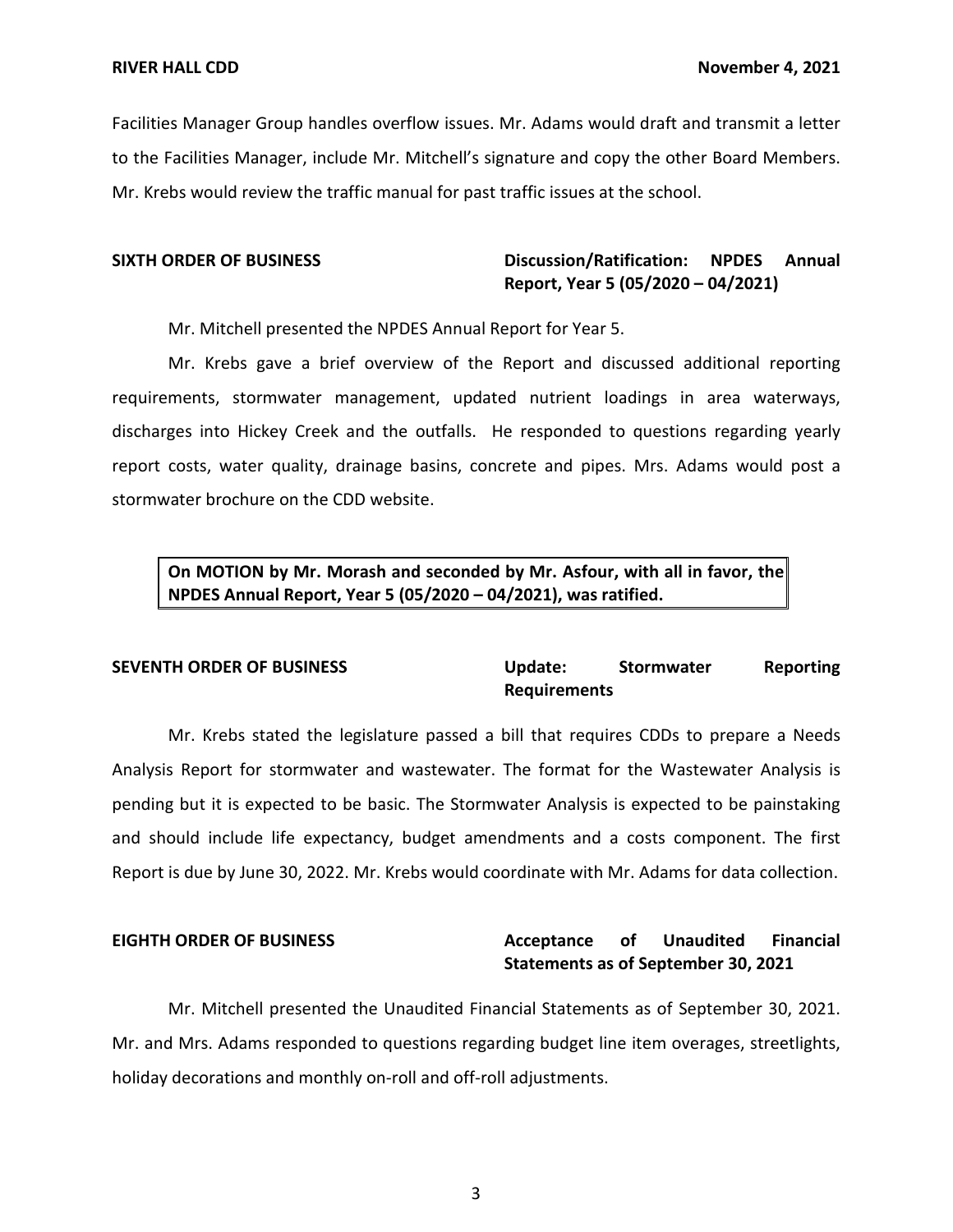Facilities Manager Group handles overflow issues. Mr. Adams would draft and transmit a letter to the Facilities Manager, include Mr. Mitchell's signature and copy the other Board Members. Mr. Krebs would review the traffic manual for past traffic issues at the school.

**SIXTH ORDER OF BUSINESS Discussion/Ratification: NPDES Annual Report, Year 5 (05/2020 – 04/2021)** 

Mr. Mitchell presented the NPDES Annual Report for Year 5.

Mr. Krebs gave a brief overview of the Report and discussed additional reporting requirements, stormwater management, updated nutrient loadings in area waterways, discharges into Hickey Creek and the outfalls. He responded to questions regarding yearly report costs, water quality, drainage basins, concrete and pipes. Mrs. Adams would post a stormwater brochure on the CDD website.

 **On MOTION by Mr. Morash and seconded by Mr. Asfour, with all in favor, the NPDES Annual Report, Year 5 (05/2020 – 04/2021), was ratified.** 

### SEVENTH ORDER OF BUSINESS Update: Stormwater Reporting **Requirements**

Mr. Krebs stated the legislature passed a bill that requires CDDs to prepare a Needs Analysis Report for stormwater and wastewater. The format for the Wastewater Analysis is pending but it is expected to be basic. The Stormwater Analysis is expected to be painstaking and should include life expectancy, budget amendments and a costs component. The first Report is due by June 30, 2022. Mr. Krebs would coordinate with Mr. Adams for data collection.

### **Unaudited Statements as of September 30, 2021**  EIGHTH ORDER OF BUSINESS **Acceptance** of Unaudited Financial

 Mr. Mitchell presented the Unaudited Financial Statements as of September 30, 2021. Mr. and Mrs. Adams responded to questions regarding budget line item overages, streetlights, holiday decorations and monthly on-roll and off-roll adjustments.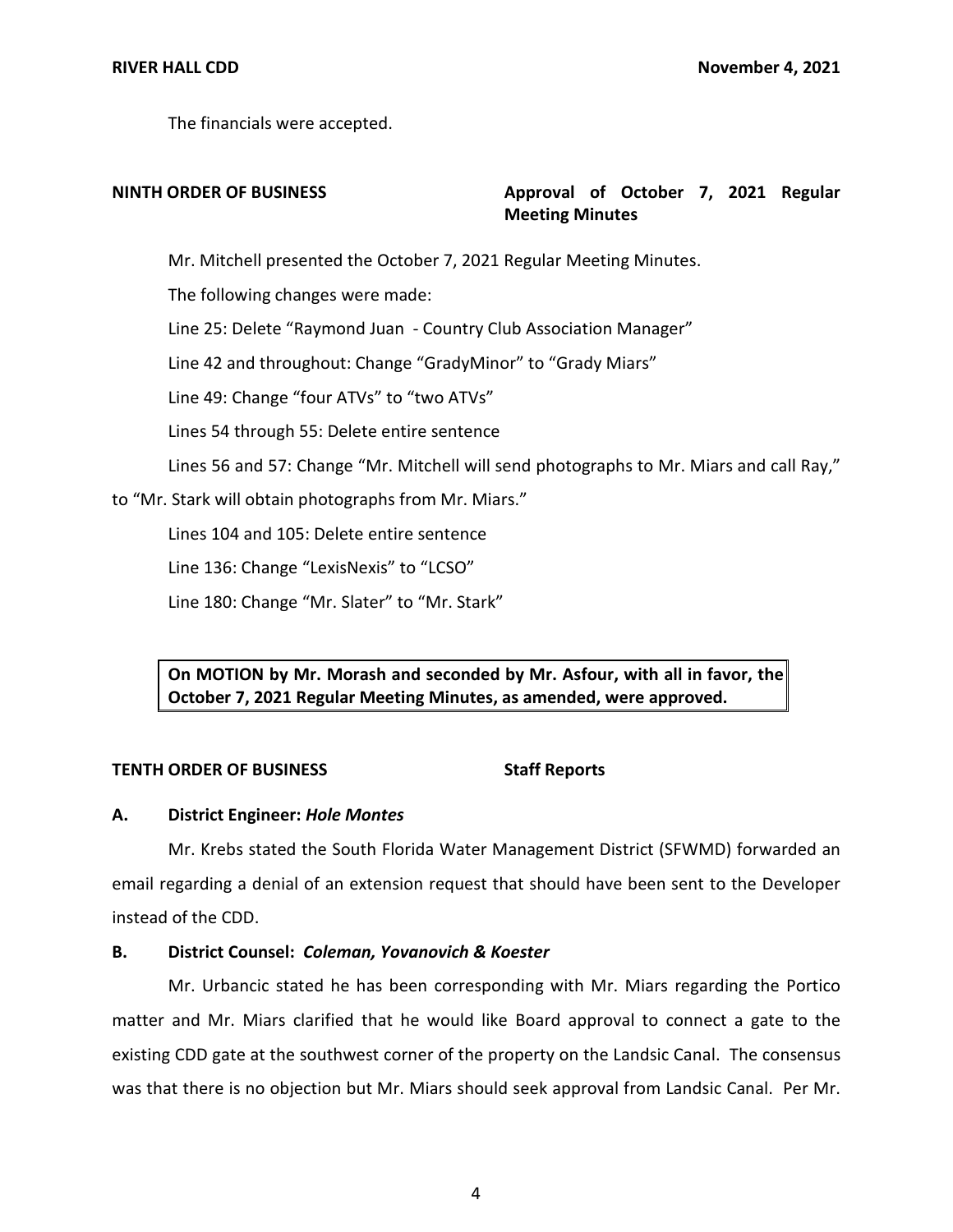The financials were accepted.

# **NINTH ORDER OF BUSINESS Approval of October 7, 2021 Regular Meeting Minutes**

Mr. Mitchell presented the October 7, 2021 Regular Meeting Minutes.

The following changes were made:

Line 25: Delete "Raymond Juan - Country Club Association Manager"

Line 42 and throughout: Change "GradyMinor" to "Grady Miars"

Line 49: Change "four ATVs" to "two ATVs"

Lines 54 through 55: Delete entire sentence

Lines 56 and 57: Change "Mr. Mitchell will send photographs to Mr. Miars and call Ray,"

to "Mr. Stark will obtain photographs from Mr. Miars."

Lines 104 and 105: Delete entire sentence

Line 136: Change "LexisNexis" to "LCSO"

Line 180: Change "Mr. Slater" to "Mr. Stark"

 **On MOTION by Mr. Morash and seconded by Mr. Asfour, with all in favor, the October 7, 2021 Regular Meeting Minutes, as amended, were approved.** 

### **TENTH ORDER OF BUSINESS STATES STATES STATES STATES STATES**

# **A. District Engineer:** *Hole Montes*

Mr. Krebs stated the South Florida Water Management District (SFWMD) forwarded an email regarding a denial of an extension request that should have been sent to the Developer instead of the CDD.

# **B. District Counsel:** *Coleman, Yovanovich & Koester*

Mr. Urbancic stated he has been corresponding with Mr. Miars regarding the Portico matter and Mr. Miars clarified that he would like Board approval to connect a gate to the existing CDD gate at the southwest corner of the property on the Landsic Canal. The consensus was that there is no objection but Mr. Miars should seek approval from Landsic Canal. Per Mr.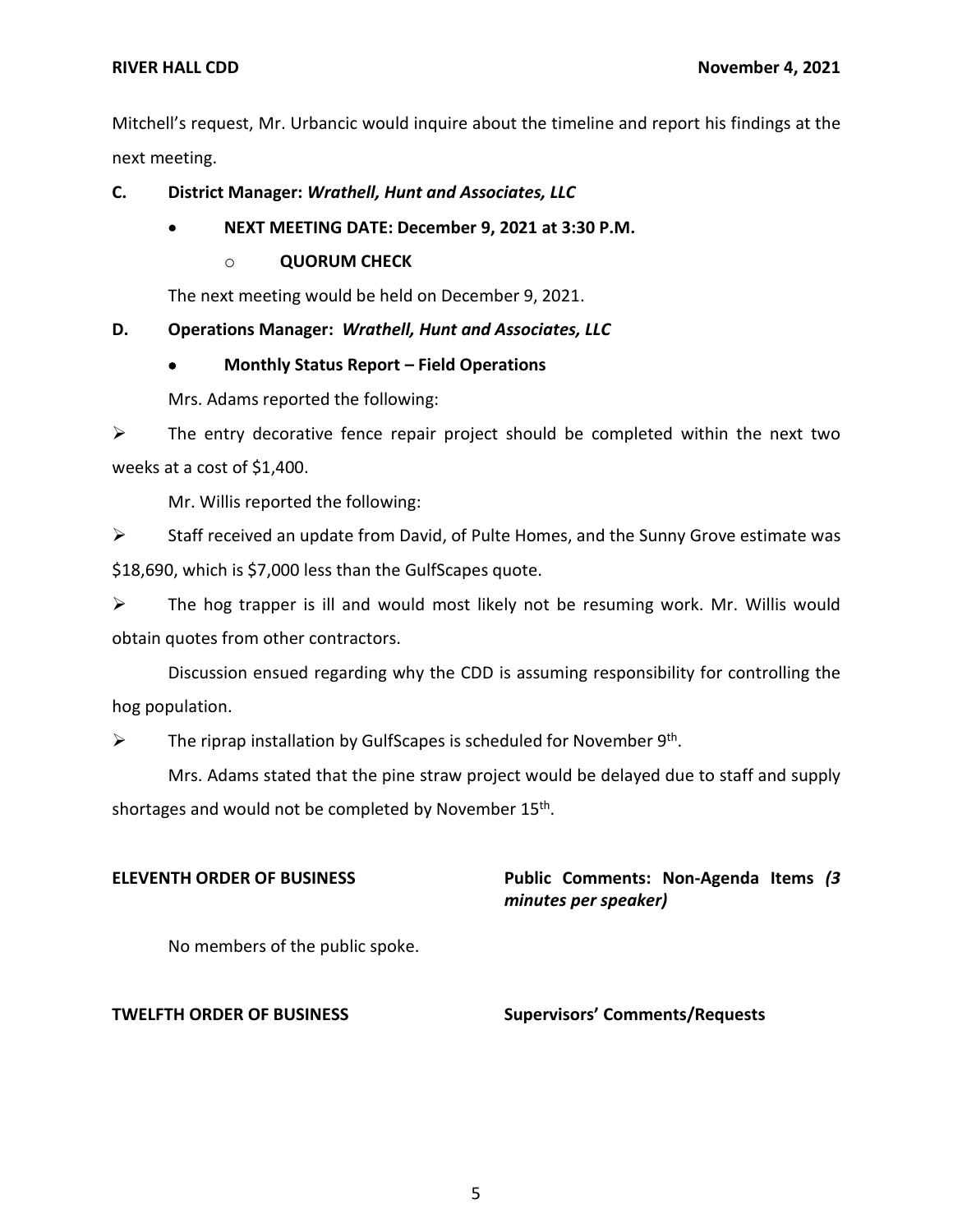Mitchell's request, Mr. Urbancic would inquire about the timeline and report his findings at the next meeting.

### **C. District Manager:** *Wrathell, Hunt and Associates, LLC*

# • **NEXT MEETING DATE: December 9, 2021 at 3:30 P.M.**

### o **QUORUM CHECK**

The next meeting would be held on December 9, 2021.

### **D. Operations Manager:** *Wrathell, Hunt and Associates, LLC*

### • **Monthly Status Report – Field Operations**

Mrs. Adams reported the following:

 $\triangleright$  The entry decorative fence repair project should be completed within the next two weeks at a cost of \$1,400.

Mr. Willis reported the following:

 $\triangleright$  Staff received an update from David, of Pulte Homes, and the Sunny Grove estimate was \$18,690, which is \$7,000 less than the GulfScapes quote.

➢ The hog trapper is ill and would most likely not be resuming work. Mr. Willis would obtain quotes from other contractors.

Discussion ensued regarding why the CDD is assuming responsibility for controlling the hog population.

 $\triangleright$  The riprap installation by GulfScapes is scheduled for November 9<sup>th</sup>.

Mrs. Adams stated that the pine straw project would be delayed due to staff and supply shortages and would not be completed by November  $15<sup>th</sup>$ .

# **ELEVENTH ORDER OF BUSINESS Public Comments: Non-Agenda Items** *(3 minutes per speaker)*

No members of the public spoke.

**TWELFTH ORDER OF BUSINESS Supervisors' Comments/Requests**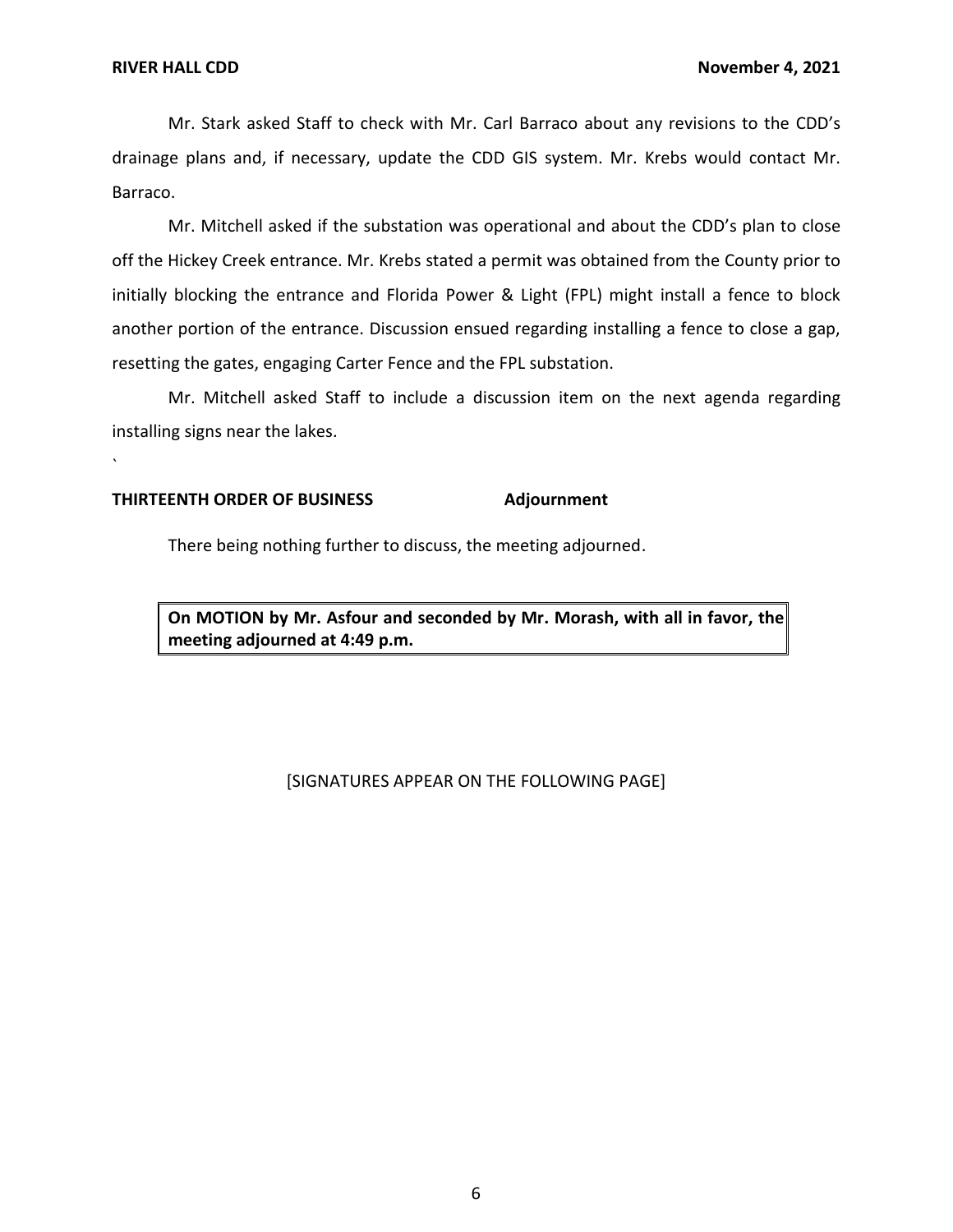`

Mr. Stark asked Staff to check with Mr. Carl Barraco about any revisions to the CDD's drainage plans and, if necessary, update the CDD GIS system. Mr. Krebs would contact Mr. Barraco.

Mr. Mitchell asked if the substation was operational and about the CDD's plan to close off the Hickey Creek entrance. Mr. Krebs stated a permit was obtained from the County prior to initially blocking the entrance and Florida Power & Light (FPL) might install a fence to block another portion of the entrance. Discussion ensued regarding installing a fence to close a gap, resetting the gates, engaging Carter Fence and the FPL substation.

Mr. Mitchell asked Staff to include a discussion item on the next agenda regarding installing signs near the lakes.

### **THIRTEENTH ORDER OF BUSINESS Adjournment**

There being nothing further to discuss, the meeting adjourned.

 **On MOTION by Mr. Asfour and seconded by Mr. Morash, with all in favor, the meeting adjourned at 4:49 p.m.** 

### [SIGNATURES APPEAR ON THE FOLLOWING PAGE]